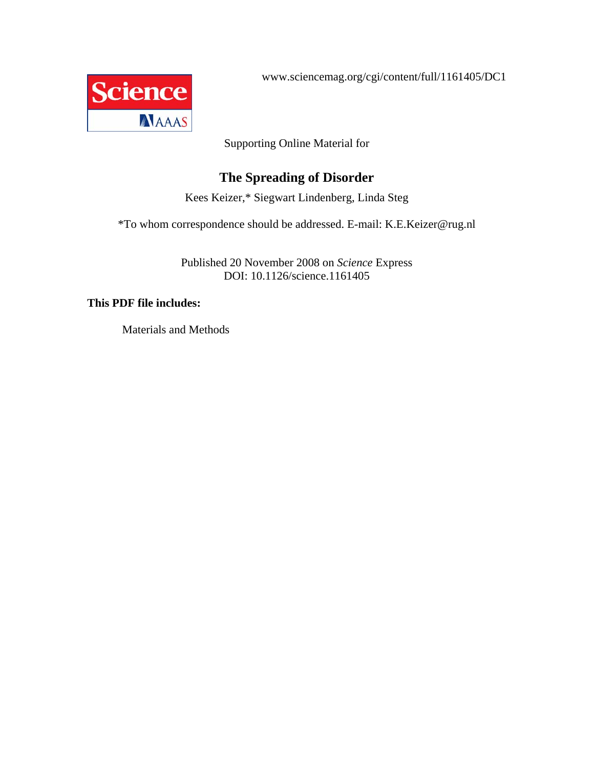www.sciencemag.org/cgi/content/full/1161405/DC1



Supporting Online Material for

### **The Spreading of Disorder**

Kees Keizer,\* Siegwart Lindenberg, Linda Steg

\*To whom correspondence should be addressed. E-mail: K.E.Keizer@rug.nl

Published 20 November 2008 on *Science* Express DOI: 10.1126/science.1161405

### **This PDF file includes:**

Materials and Methods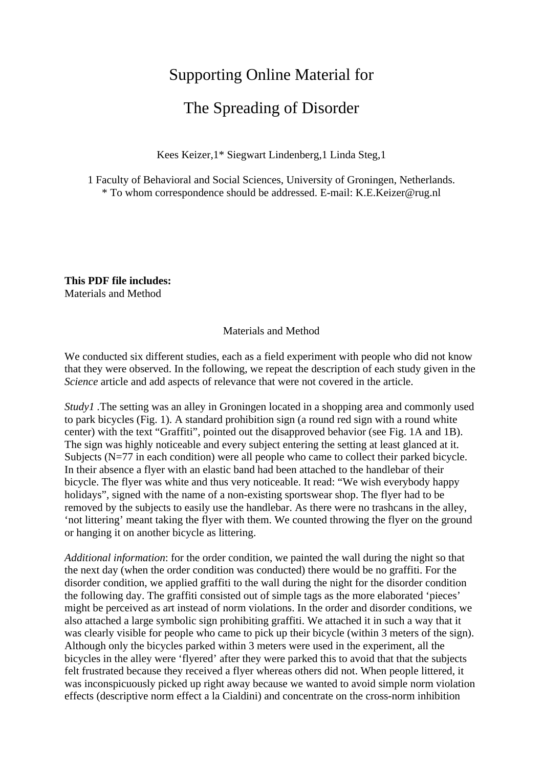## Supporting Online Material for

# The Spreading of Disorder

Kees Keizer,1\* Siegwart Lindenberg,1 Linda Steg,1

1 Faculty of Behavioral and Social Sciences, University of Groningen, Netherlands. \* To whom correspondence should be addressed. E-mail: K.E.Keizer@rug.nl

**This PDF file includes:**  Materials and Method

#### Materials and Method

We conducted six different studies, each as a field experiment with people who did not know that they were observed. In the following, we repeat the description of each study given in the *Science* article and add aspects of relevance that were not covered in the article.

*Studyl* . The setting was an alley in Groningen located in a shopping area and commonly used to park bicycles (Fig. 1). A standard prohibition sign (a round red sign with a round white center) with the text "Graffiti", pointed out the disapproved behavior (see Fig. 1A and 1B). The sign was highly noticeable and every subject entering the setting at least glanced at it. Subjects (N=77 in each condition) were all people who came to collect their parked bicycle. In their absence a flyer with an elastic band had been attached to the handlebar of their bicycle. The flyer was white and thus very noticeable. It read: "We wish everybody happy holidays", signed with the name of a non-existing sportswear shop. The flyer had to be removed by the subjects to easily use the handlebar. As there were no trashcans in the alley, 'not littering' meant taking the flyer with them. We counted throwing the flyer on the ground or hanging it on another bicycle as littering.

*Additional information*: for the order condition, we painted the wall during the night so that the next day (when the order condition was conducted) there would be no graffiti. For the disorder condition, we applied graffiti to the wall during the night for the disorder condition the following day. The graffiti consisted out of simple tags as the more elaborated 'pieces' might be perceived as art instead of norm violations. In the order and disorder conditions, we also attached a large symbolic sign prohibiting graffiti. We attached it in such a way that it was clearly visible for people who came to pick up their bicycle (within 3 meters of the sign). Although only the bicycles parked within 3 meters were used in the experiment, all the bicycles in the alley were 'flyered' after they were parked this to avoid that that the subjects felt frustrated because they received a flyer whereas others did not. When people littered, it was inconspicuously picked up right away because we wanted to avoid simple norm violation effects (descriptive norm effect a la Cialdini) and concentrate on the cross-norm inhibition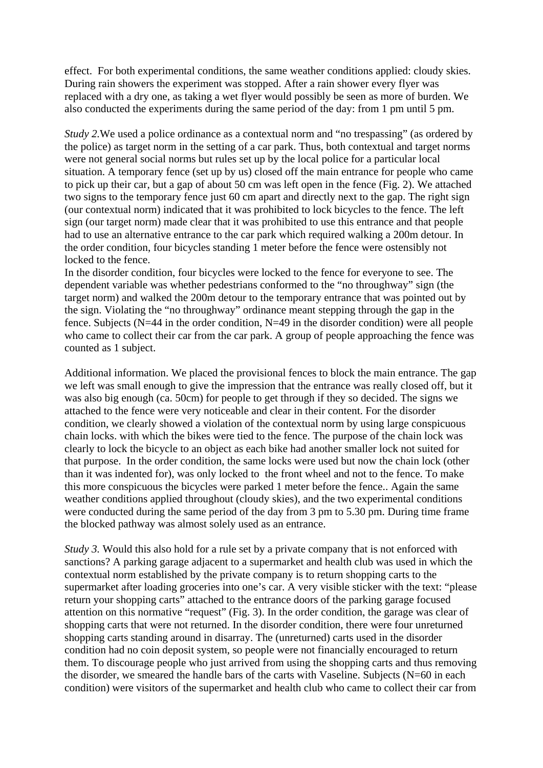effect. For both experimental conditions, the same weather conditions applied: cloudy skies. During rain showers the experiment was stopped. After a rain shower every flyer was replaced with a dry one, as taking a wet flyer would possibly be seen as more of burden. We also conducted the experiments during the same period of the day: from 1 pm until 5 pm.

*Study 2.* We used a police ordinance as a contextual norm and "no trespassing" (as ordered by the police) as target norm in the setting of a car park. Thus, both contextual and target norms were not general social norms but rules set up by the local police for a particular local situation. A temporary fence (set up by us) closed off the main entrance for people who came to pick up their car, but a gap of about 50 cm was left open in the fence (Fig. 2). We attached two signs to the temporary fence just 60 cm apart and directly next to the gap. The right sign (our contextual norm) indicated that it was prohibited to lock bicycles to the fence. The left sign (our target norm) made clear that it was prohibited to use this entrance and that people had to use an alternative entrance to the car park which required walking a 200m detour. In the order condition, four bicycles standing 1 meter before the fence were ostensibly not locked to the fence.

In the disorder condition, four bicycles were locked to the fence for everyone to see. The dependent variable was whether pedestrians conformed to the "no throughway" sign (the target norm) and walked the 200m detour to the temporary entrance that was pointed out by the sign. Violating the "no throughway" ordinance meant stepping through the gap in the fence. Subjects (N=44 in the order condition, N=49 in the disorder condition) were all people who came to collect their car from the car park. A group of people approaching the fence was counted as 1 subject.

Additional information. We placed the provisional fences to block the main entrance. The gap we left was small enough to give the impression that the entrance was really closed off, but it was also big enough (ca. 50cm) for people to get through if they so decided. The signs we attached to the fence were very noticeable and clear in their content. For the disorder condition, we clearly showed a violation of the contextual norm by using large conspicuous chain locks. with which the bikes were tied to the fence. The purpose of the chain lock was clearly to lock the bicycle to an object as each bike had another smaller lock not suited for that purpose. In the order condition, the same locks were used but now the chain lock (other than it was indented for), was only locked to the front wheel and not to the fence. To make this more conspicuous the bicycles were parked 1 meter before the fence.. Again the same weather conditions applied throughout (cloudy skies), and the two experimental conditions were conducted during the same period of the day from 3 pm to 5.30 pm. During time frame the blocked pathway was almost solely used as an entrance.

*Study 3.* Would this also hold for a rule set by a private company that is not enforced with sanctions? A parking garage adjacent to a supermarket and health club was used in which the contextual norm established by the private company is to return shopping carts to the supermarket after loading groceries into one's car. A very visible sticker with the text: "please return your shopping carts" attached to the entrance doors of the parking garage focused attention on this normative "request" (Fig. 3). In the order condition, the garage was clear of shopping carts that were not returned. In the disorder condition, there were four unreturned shopping carts standing around in disarray. The (unreturned) carts used in the disorder condition had no coin deposit system, so people were not financially encouraged to return them. To discourage people who just arrived from using the shopping carts and thus removing the disorder, we smeared the handle bars of the carts with Vaseline. Subjects  $(N=60$  in each condition) were visitors of the supermarket and health club who came to collect their car from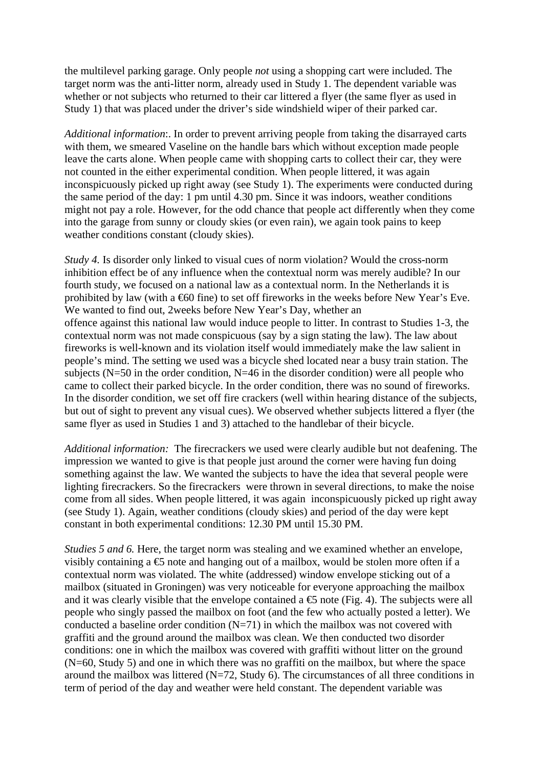the multilevel parking garage. Only people *not* using a shopping cart were included. The target norm was the anti-litter norm, already used in Study 1. The dependent variable was whether or not subjects who returned to their car littered a flyer (the same flyer as used in Study 1) that was placed under the driver's side windshield wiper of their parked car.

*Additional information*:. In order to prevent arriving people from taking the disarrayed carts with them, we smeared Vaseline on the handle bars which without exception made people leave the carts alone. When people came with shopping carts to collect their car, they were not counted in the either experimental condition. When people littered, it was again inconspicuously picked up right away (see Study 1). The experiments were conducted during the same period of the day: 1 pm until 4.30 pm. Since it was indoors, weather conditions might not pay a role. However, for the odd chance that people act differently when they come into the garage from sunny or cloudy skies (or even rain), we again took pains to keep weather conditions constant (cloudy skies).

*Study 4.* Is disorder only linked to visual cues of norm violation? Would the cross-norm inhibition effect be of any influence when the contextual norm was merely audible? In our fourth study, we focused on a national law as a contextual norm. In the Netherlands it is prohibited by law (with a €60 fine) to set off fireworks in the weeks before New Year's Eve. We wanted to find out, 2weeks before New Year's Day, whether an offence against this national law would induce people to litter. In contrast to Studies 1-3, the contextual norm was not made conspicuous (say by a sign stating the law). The law about fireworks is well-known and its violation itself would immediately make the law salient in people's mind. The setting we used was a bicycle shed located near a busy train station. The subjects ( $N=50$  in the order condition,  $N=46$  in the disorder condition) were all people who came to collect their parked bicycle. In the order condition, there was no sound of fireworks. In the disorder condition, we set off fire crackers (well within hearing distance of the subjects, but out of sight to prevent any visual cues). We observed whether subjects littered a flyer (the same flyer as used in Studies 1 and 3) attached to the handlebar of their bicycle.

*Additional information:* The firecrackers we used were clearly audible but not deafening. The impression we wanted to give is that people just around the corner were having fun doing something against the law. We wanted the subjects to have the idea that several people were lighting firecrackers. So the firecrackers were thrown in several directions, to make the noise come from all sides. When people littered, it was again inconspicuously picked up right away (see Study 1). Again, weather conditions (cloudy skies) and period of the day were kept constant in both experimental conditions: 12.30 PM until 15.30 PM.

*Studies 5 and 6.* Here, the target norm was stealing and we examined whether an envelope, visibly containing a  $\epsilon$  note and hanging out of a mailbox, would be stolen more often if a contextual norm was violated. The white (addressed) window envelope sticking out of a mailbox (situated in Groningen) was very noticeable for everyone approaching the mailbox and it was clearly visible that the envelope contained a  $\epsilon$  note (Fig. 4). The subjects were all people who singly passed the mailbox on foot (and the few who actually posted a letter). We conducted a baseline order condition  $(N=71)$  in which the mailbox was not covered with graffiti and the ground around the mailbox was clean. We then conducted two disorder conditions: one in which the mailbox was covered with graffiti without litter on the ground (N=60, Study 5) and one in which there was no graffiti on the mailbox, but where the space around the mailbox was littered (N=72, Study 6). The circumstances of all three conditions in term of period of the day and weather were held constant. The dependent variable was